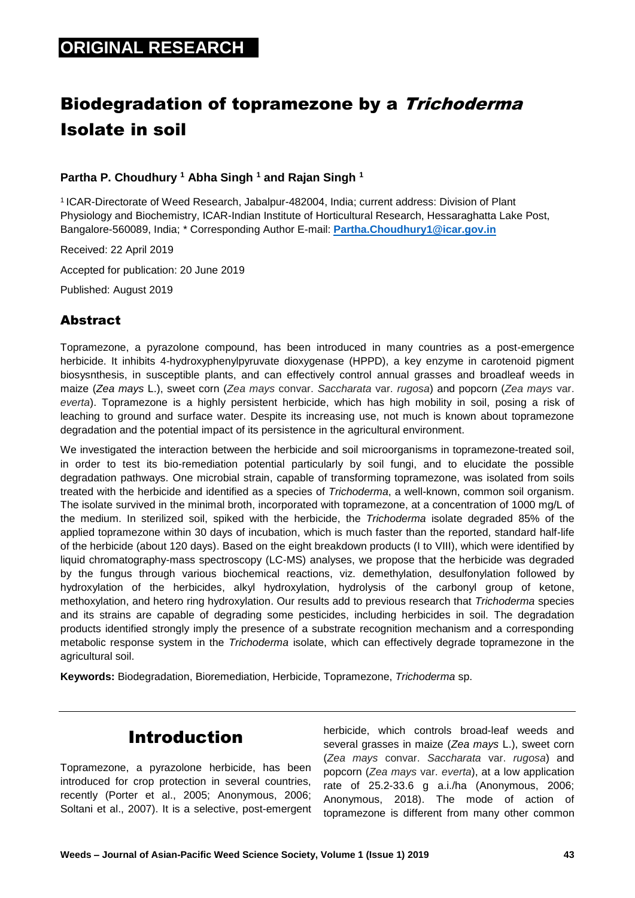# **ORIGINAL RESEARCH**

# Biodegradation of topramezone by a Trichoderma Isolate in soil

#### **Partha P. Choudhury <sup>1</sup> Abha Singh <sup>1</sup> and Rajan Singh <sup>1</sup>**

<sup>1</sup>ICAR-Directorate of Weed Research, Jabalpur-482004, India; current address: Division of Plant Physiology and Biochemistry, ICAR-Indian Institute of Horticultural Research, Hessaraghatta Lake Post, Bangalore-560089, India; \* Corresponding Author E-mail: **[Partha.Choudhury1@icar.gov.in](mailto:Partha.Choudhury1@icar.gov.in)**

Received: 22 April 2019

Accepted for publication: 20 June 2019

Published: August 2019

#### Abstract

Topramezone, a pyrazolone compound, has been introduced in many countries as a post-emergence herbicide. It inhibits 4-hydroxyphenylpyruvate dioxygenase (HPPD), a key enzyme in carotenoid pigment biosysnthesis, in susceptible plants, and can effectively control annual grasses and broadleaf weeds in maize (*Zea mays* L.), sweet corn (*Zea mays* convar. *Saccharata* var. *rugosa*) and popcorn (*Zea mays* var. *everta*). Topramezone is a highly persistent herbicide, which has high mobility in soil, posing a risk of leaching to ground and surface water. Despite its increasing use, not much is known about topramezone degradation and the potential impact of its persistence in the agricultural environment.

We investigated the interaction between the herbicide and soil microorganisms in topramezone-treated soil, in order to test its bio-remediation potential particularly by soil fungi, and to elucidate the possible degradation pathways. One microbial strain, capable of transforming topramezone, was isolated from soils treated with the herbicide and identified as a species of *Trichoderma*, a well-known, common soil organism. The isolate survived in the minimal broth, incorporated with topramezone, at a concentration of 1000 mg/L of the medium. In sterilized soil, spiked with the herbicide, the *Trichoderma* isolate degraded 85% of the applied topramezone within 30 days of incubation, which is much faster than the reported, standard half-life of the herbicide (about 120 days). Based on the eight breakdown products (I to VIII), which were identified by liquid chromatography-mass spectroscopy (LC-MS) analyses, we propose that the herbicide was degraded by the fungus through various biochemical reactions, viz. demethylation, desulfonylation followed by hydroxylation of the herbicides, alkyl hydroxylation, hydrolysis of the carbonyl group of ketone, methoxylation, and hetero ring hydroxylation. Our results add to previous research that *Trichoderma* species and its strains are capable of degrading some pesticides, including herbicides in soil. The degradation products identified strongly imply the presence of a substrate recognition mechanism and a corresponding metabolic response system in the *Trichoderma* isolate, which can effectively degrade topramezone in the agricultural soil.

**Keywords:** Biodegradation, Bioremediation, Herbicide, Topramezone, *Trichoderma* sp.

## Introduction

Topramezone, a pyrazolone herbicide, has been introduced for crop protection in several countries, recently (Porter et al., 2005; Anonymous, 2006; Soltani et al., 2007). It is a selective, post-emergent

herbicide, which controls broad-leaf weeds and several grasses in maize (*Zea mays* L.), sweet corn (*Zea mays* convar. *Saccharata* var. *rugosa*) and popcorn (*Zea mays* var. *everta*), at a low application rate of 25.2-33.6 g a.i./ha (Anonymous, 2006; Anonymous, 2018). The mode of action of topramezone is different from many other common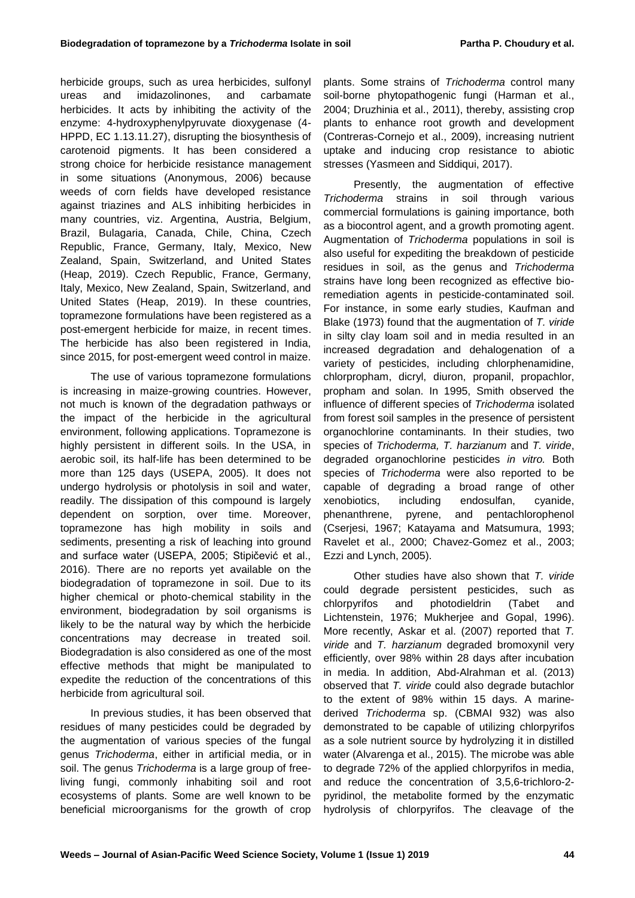herbicide groups, such as urea herbicides, sulfonyl ureas and imidazolinones, and carbamate herbicides. It acts by inhibiting the activity of the enzyme: 4-hydroxyphenylpyruvate dioxygenase (4- HPPD, EC 1.13.11.27), disrupting the biosynthesis of carotenoid pigments. It has been considered a strong choice for herbicide resistance management in some situations (Anonymous, 2006) because weeds of corn fields have developed resistance against triazines and ALS inhibiting herbicides in many countries, viz. Argentina, Austria, Belgium, Brazil, Bulagaria, Canada, Chile, China, Czech Republic, France, Germany, Italy, Mexico, New Zealand, Spain, Switzerland, and United States (Heap, 2019). Czech Republic, France, Germany, Italy, Mexico, New Zealand, Spain, Switzerland, and United States (Heap, 2019). In these countries, topramezone formulations have been registered as a post-emergent herbicide for maize, in recent times. The herbicide has also been registered in India, since 2015, for post-emergent weed control in maize.

The use of various topramezone formulations is increasing in maize-growing countries. However, not much is known of the degradation pathways or the impact of the herbicide in the agricultural environment, following applications. Topramezone is highly persistent in different soils. In the USA, in aerobic soil, its half-life has been determined to be more than 125 days (USEPA, 2005). It does not undergo hydrolysis or photolysis in soil and water, readily. The dissipation of this compound is largely dependent on sorption, over time. Moreover, topramezone has high mobility in soils and sediments, presenting a risk of leaching into ground and surface water (USEPA, 2005; Stipičević et al., 2016). There are no reports yet available on the biodegradation of topramezone in soil. Due to its higher chemical or photo-chemical stability in the environment, biodegradation by soil organisms is likely to be the natural way by which the herbicide concentrations may decrease in treated soil. Biodegradation is also considered as one of the most effective methods that might be manipulated to expedite the reduction of the concentrations of this herbicide from agricultural soil.

In previous studies, it has been observed that residues of many pesticides could be degraded by the augmentation of various species of the fungal genus *Trichoderma*, either in artificial media, or in soil. The genus *Trichoderma* is a large group of freeliving fungi, commonly inhabiting soil and root ecosystems of plants. Some are well known to be beneficial microorganisms for the growth of crop

plants. Some strains of *Trichoderma* control many soil-borne phytopathogenic fungi (Harman et al., 2004; Druzhinia et al., 2011), thereby, assisting crop plants to enhance root growth and development (Contreras-Cornejo et al., 2009), increasing nutrient uptake and inducing crop resistance to abiotic stresses (Yasmeen and Siddiqui, 2017).

Presently, the augmentation of effective *Trichoderma* strains in soil through various commercial formulations is gaining importance, both as a biocontrol agent, and a growth promoting agent. Augmentation of *Trichoderma* populations in soil is also useful for expediting the breakdown of pesticide residues in soil, as the genus and *Trichoderma* strains have long been recognized as effective bioremediation agents in pesticide-contaminated soil. For instance, in some early studies, Kaufman and Blake (1973) found that the augmentation of *T. viride* in silty clay loam soil and in media resulted in an increased degradation and dehalogenation of a variety of pesticides, including chlorphenamidine, chlorpropham, dicryl, diuron, propanil, propachlor, propham and solan. In 1995, Smith observed the influence of different species of *Trichoderma* isolated from forest soil samples in the presence of persistent organochlorine contaminants*.* In their studies, two species of *Trichoderma, T. harzianum* and *T. viride*, degraded organochlorine pesticides *in vitro.* Both species of *Trichoderma* were also reported to be capable of degrading a broad range of other xenobiotics, including endosulfan, cyanide, phenanthrene, pyrene, and pentachlorophenol (Cserjesi, 1967; Katayama and Matsumura, 1993; Ravelet et al., 2000; Chavez-Gomez et al., 2003; Ezzi and Lynch, 2005).

Other studies have also shown that *T. viride* could degrade persistent pesticides, such as chlorpyrifos and photodieldrin (Tabet and Lichtenstein, 1976; Mukherjee and Gopal, 1996). More recently, Askar et al. (2007) reported that *T. viride* and *T. harzianum* degraded bromoxynil very efficiently, over 98% within 28 days after incubation in media. In addition, Abd-Alrahman et al. (2013) observed that *T. viride* could also degrade butachlor to the extent of 98% within 15 days. A marinederived *Trichoderma* sp. (CBMAI 932) was also demonstrated to be capable of utilizing chlorpyrifos as a sole nutrient source by hydrolyzing it in distilled water (Alvarenga et al., 2015). The microbe was able to degrade 72% of the applied chlorpyrifos in media, and reduce the concentration of 3,5,6-trichloro-2 pyridinol, the metabolite formed by the enzymatic hydrolysis of chlorpyrifos. The cleavage of the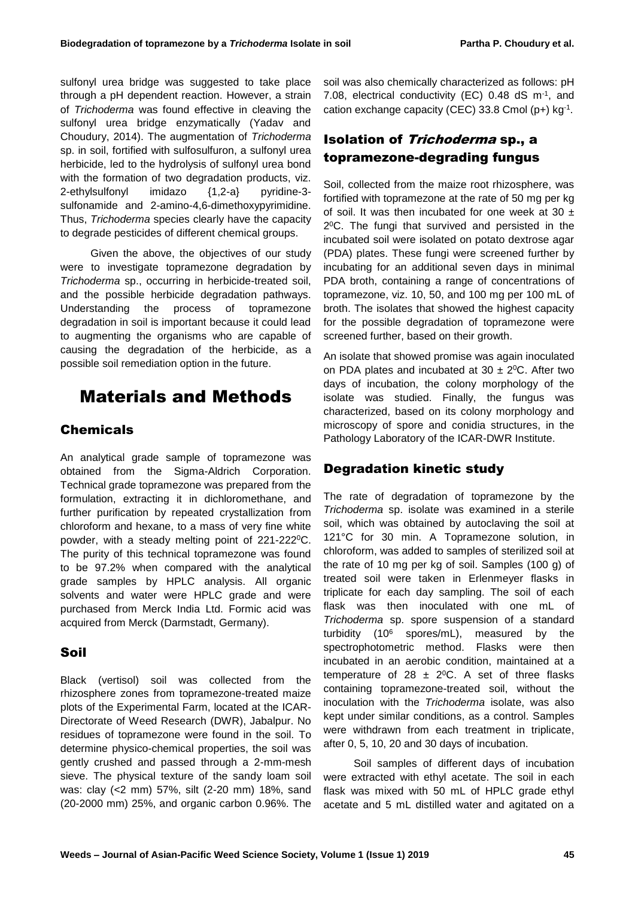sulfonyl urea bridge was suggested to take place through a pH dependent reaction. However, a strain of *Trichoderma* was found effective in cleaving the sulfonyl urea bridge enzymatically (Yadav and Choudury, 2014). The augmentation of *Trichoderma* sp. in soil, fortified with sulfosulfuron, a sulfonyl urea herbicide, led to the hydrolysis of sulfonyl urea bond with the formation of two degradation products, viz. 2-ethylsulfonyl imidazo {1,2-a} pyridine-3 sulfonamide and 2-amino-4,6-dimethoxypyrimidine. Thus, *Trichoderma* species clearly have the capacity to degrade pesticides of different chemical groups.

Given the above, the objectives of our study were to investigate topramezone degradation by *Trichoderma* sp., occurring in herbicide-treated soil, and the possible herbicide degradation pathways. Understanding the process of topramezone degradation in soil is important because it could lead to augmenting the organisms who are capable of causing the degradation of the herbicide, as a possible soil remediation option in the future.

# Materials and Methods

#### Chemicals

An analytical grade sample of topramezone was obtained from the Sigma-Aldrich Corporation. Technical grade topramezone was prepared from the formulation, extracting it in dichloromethane, and further purification by repeated crystallization from chloroform and hexane, to a mass of very fine white powder, with a steady melting point of 221-222<sup>o</sup>C. The purity of this technical topramezone was found to be 97.2% when compared with the analytical grade samples by HPLC analysis. All organic solvents and water were HPLC grade and were purchased from Merck India Ltd. Formic acid was acquired from Merck (Darmstadt, Germany).

#### Soil

Black (vertisol) soil was collected from the rhizosphere zones from topramezone-treated maize plots of the Experimental Farm, located at the ICAR-Directorate of Weed Research (DWR), Jabalpur. No residues of topramezone were found in the soil. To determine physico-chemical properties, the soil was gently crushed and passed through a 2-mm-mesh sieve. The physical texture of the sandy loam soil was: clay (<2 mm) 57%, silt (2-20 mm) 18%, sand (20-2000 mm) 25%, and organic carbon 0.96%. The

soil was also chemically characterized as follows: pH 7.08, electrical conductivity (EC) 0.48 dS m<sup>-1</sup>, and cation exchange capacity (CEC) 33.8 Cmol (p+) kg-1 .

#### Isolation of Trichoderma sp., a topramezone-degrading fungus

Soil, collected from the maize root rhizosphere, was fortified with topramezone at the rate of 50 mg per kg of soil. It was then incubated for one week at 30  $\pm$ 2 <sup>0</sup>C. The fungi that survived and persisted in the incubated soil were isolated on potato dextrose agar (PDA) plates. These fungi were screened further by incubating for an additional seven days in minimal PDA broth, containing a range of concentrations of topramezone, viz. 10, 50, and 100 mg per 100 mL of broth. The isolates that showed the highest capacity for the possible degradation of topramezone were screened further, based on their growth.

An isolate that showed promise was again inoculated on PDA plates and incubated at 30  $\pm$  2<sup>o</sup>C. After two days of incubation, the colony morphology of the isolate was studied. Finally, the fungus was characterized, based on its colony morphology and microscopy of spore and conidia structures, in the Pathology Laboratory of the ICAR-DWR Institute.

#### Degradation kinetic study

The rate of degradation of topramezone by the *Trichoderma* sp. isolate was examined in a sterile soil, which was obtained by autoclaving the soil at 121°C for 30 min. A Topramezone solution, in chloroform, was added to samples of sterilized soil at the rate of 10 mg per kg of soil. Samples (100 g) of treated soil were taken in Erlenmeyer flasks in triplicate for each day sampling. The soil of each flask was then inoculated with one mL of *Trichoderma* sp. spore suspension of a standard turbidity (10<sup>6</sup> spores/mL), measured by the spectrophotometric method. Flasks were then incubated in an aerobic condition, maintained at a temperature of 28  $\pm$  2<sup>o</sup>C. A set of three flasks containing topramezone-treated soil, without the inoculation with the *Trichoderma* isolate, was also kept under similar conditions, as a control. Samples were withdrawn from each treatment in triplicate, after 0, 5, 10, 20 and 30 days of incubation.

Soil samples of different days of incubation were extracted with ethyl acetate. The soil in each flask was mixed with 50 mL of HPLC grade ethyl acetate and 5 mL distilled water and agitated on a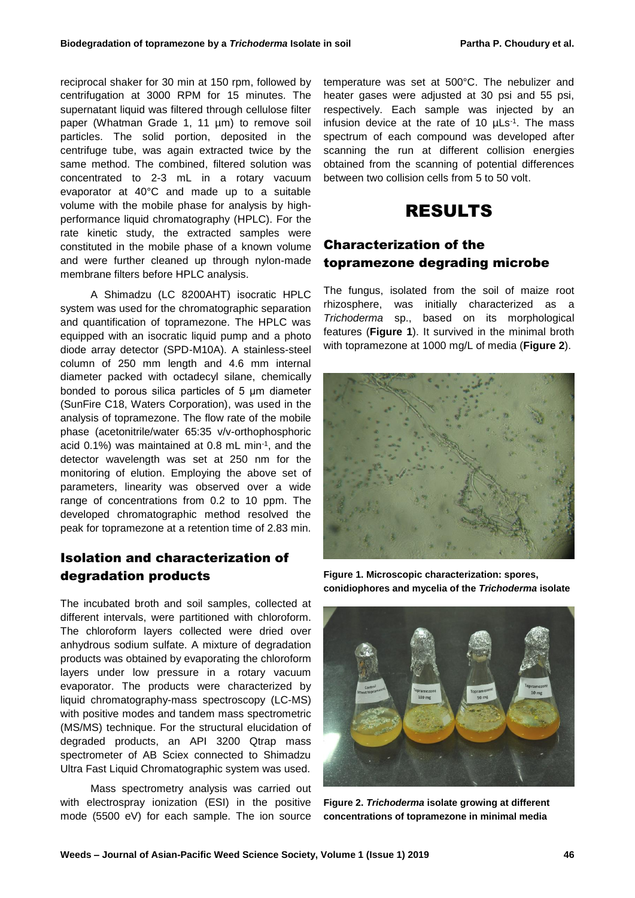reciprocal shaker for 30 min at 150 rpm, followed by centrifugation at 3000 RPM for 15 minutes. The supernatant liquid was filtered through cellulose filter paper (Whatman Grade 1, 11 µm) to remove soil particles. The solid portion, deposited in the centrifuge tube, was again extracted twice by the same method. The combined, filtered solution was concentrated to 2-3 mL in a rotary vacuum evaporator at 40°C and made up to a suitable volume with the mobile phase for analysis by highperformance liquid chromatography (HPLC). For the rate kinetic study, the extracted samples were constituted in the mobile phase of a known volume and were further cleaned up through nylon-made membrane filters before HPLC analysis.

A Shimadzu (LC 8200AHT) isocratic HPLC system was used for the chromatographic separation and quantification of topramezone. The HPLC was equipped with an isocratic liquid pump and a photo diode array detector (SPD-M10A). A stainless-steel column of 250 mm length and 4.6 mm internal diameter packed with octadecyl silane, chemically bonded to porous silica particles of 5 μm diameter (SunFire C18, Waters Corporation), was used in the analysis of topramezone. The flow rate of the mobile phase (acetonitrile/water 65:35 v/v-orthophosphoric acid  $0.1\%$ ) was maintained at 0.8 mL min<sup>-1</sup>, and the detector wavelength was set at 250 nm for the monitoring of elution. Employing the above set of parameters, linearity was observed over a wide range of concentrations from 0.2 to 10 ppm. The developed chromatographic method resolved the peak for topramezone at a retention time of 2.83 min.

#### Isolation and characterization of degradation products

The incubated broth and soil samples, collected at different intervals, were partitioned with chloroform. The chloroform layers collected were dried over anhydrous sodium sulfate. A mixture of degradation products was obtained by evaporating the chloroform layers under low pressure in a rotary vacuum evaporator. The products were characterized by liquid chromatography-mass spectroscopy (LC-MS) with positive modes and tandem mass spectrometric (MS/MS) technique. For the structural elucidation of degraded products, an API 3200 Qtrap mass spectrometer of AB Sciex connected to Shimadzu Ultra Fast Liquid Chromatographic system was used.

Mass spectrometry analysis was carried out with electrospray ionization (ESI) in the positive mode (5500 eV) for each sample. The ion source temperature was set at 500°C. The nebulizer and heater gases were adjusted at 30 psi and 55 psi, respectively. Each sample was injected by an infusion device at the rate of 10  $\mu$ Ls<sup>-1</sup>. The mass spectrum of each compound was developed after scanning the run at different collision energies obtained from the scanning of potential differences between two collision cells from 5 to 50 volt.

# RESULTS

#### Characterization of the topramezone degrading microbe

The fungus, isolated from the soil of maize root rhizosphere, was initially characterized as a *Trichoderma* sp., based on its morphological features (**Figure 1**). It survived in the minimal broth with topramezone at 1000 mg/L of media (**Figure 2**).



**Figure 1. Microscopic characterization: spores, conidiophores and mycelia of the** *Trichoderma* **isolate**



**Figure 2.** *Trichoderma* **isolate growing at different concentrations of topramezone in minimal media**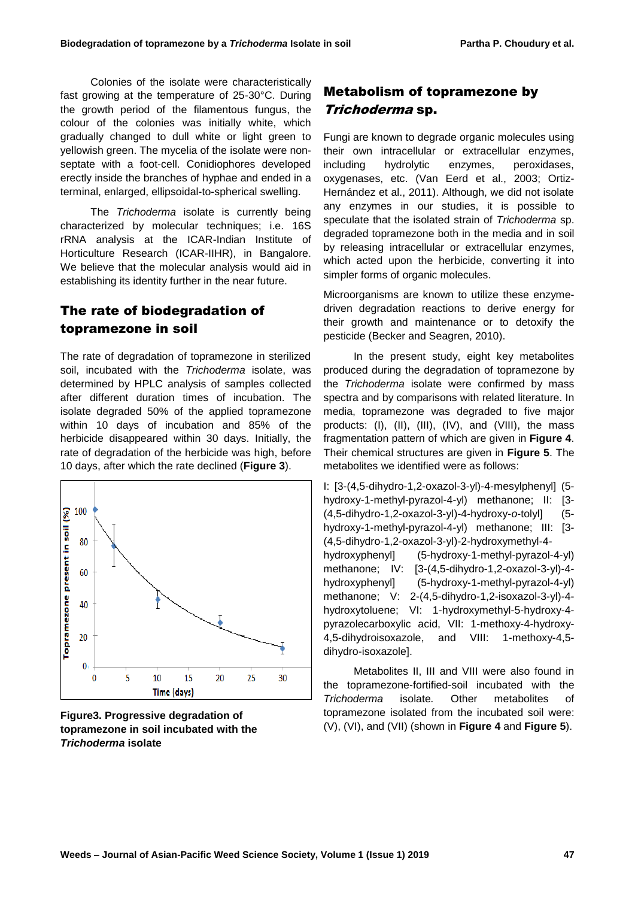Colonies of the isolate were characteristically fast growing at the temperature of 25-30°C. During the growth period of the filamentous fungus, the colour of the colonies was initially white, which gradually changed to dull white or light green to yellowish green. The mycelia of the isolate were nonseptate with a foot-cell. Conidiophores developed erectly inside the branches of hyphae and ended in a terminal, enlarged, ellipsoidal-to-spherical swelling.

The *Trichoderma* isolate is currently being characterized by molecular techniques; i.e. 16S rRNA analysis at the ICAR-Indian Institute of Horticulture Research (ICAR-IIHR), in Bangalore. We believe that the molecular analysis would aid in establishing its identity further in the near future.

### The rate of biodegradation of topramezone in soil

The rate of degradation of topramezone in sterilized soil, incubated with the *Trichoderma* isolate, was determined by HPLC analysis of samples collected after different duration times of incubation. The isolate degraded 50% of the applied topramezone within 10 days of incubation and 85% of the herbicide disappeared within 30 days. Initially, the rate of degradation of the herbicide was high, before 10 days, after which the rate declined (**Figure 3**).



**Figure3. Progressive degradation of topramezone in soil incubated with the**  *Trichoderma* **isolate**

### Metabolism of topramezone by Trichoderma sp.

Fungi are known to degrade organic molecules using their own intracellular or extracellular enzymes, including hydrolytic enzymes, peroxidases, oxygenases, etc. (Van Eerd et al., 2003; Ortiz-Hernández et al., 2011). Although, we did not isolate any enzymes in our studies, it is possible to speculate that the isolated strain of *Trichoderma* sp. degraded topramezone both in the media and in soil by releasing intracellular or extracellular enzymes, which acted upon the herbicide, converting it into simpler forms of organic molecules.

Microorganisms are known to utilize these enzymedriven degradation reactions to derive energy for their growth and maintenance or to detoxify the pesticide (Becker and Seagren, 2010).

In the present study, eight key metabolites produced during the degradation of topramezone by the *Trichoderma* isolate were confirmed by mass spectra and by comparisons with related literature. In media, topramezone was degraded to five major products: (I), (II), (III), (IV), and (VIII), the mass fragmentation pattern of which are given in **Figure 4**. Their chemical structures are given in **Figure 5**. The metabolites we identified were as follows:

I: [3-(4,5-dihydro-1,2-oxazol-3-yl)-4-mesylphenyl] (5 hydroxy-1-methyl-pyrazol-4-yl) methanone; II: [3- (4,5-dihydro-1,2-oxazol-3-yl)-4-hydroxy-*o*-tolyl] (5 hydroxy-1-methyl-pyrazol-4-yl) methanone; III: [3- (4,5-dihydro-1,2-oxazol-3-yl)-2-hydroxymethyl-4 hydroxyphenyl] (5-hydroxy-1-methyl-pyrazol-4-yl) methanone; IV: [3-(4,5-dihydro-1,2-oxazol-3-yl)-4 hydroxyphenyl] (5-hydroxy-1-methyl-pyrazol-4-yl) methanone; V: 2-(4,5-dihydro-1,2-isoxazol-3-yl)-4 hydroxytoluene; VI: 1-hydroxymethyl-5-hydroxy-4 pyrazolecarboxylic acid, VII: 1-methoxy-4-hydroxy-4,5-dihydroisoxazole, and VIII: 1-methoxy-4,5 dihydro-isoxazole].

Metabolites II, III and VIII were also found in the topramezone-fortified-soil incubated with the *Trichoderma* isolate*.* Other metabolites of topramezone isolated from the incubated soil were: (V), (VI), and (VII) (shown in **Figure 4** and **Figure 5**).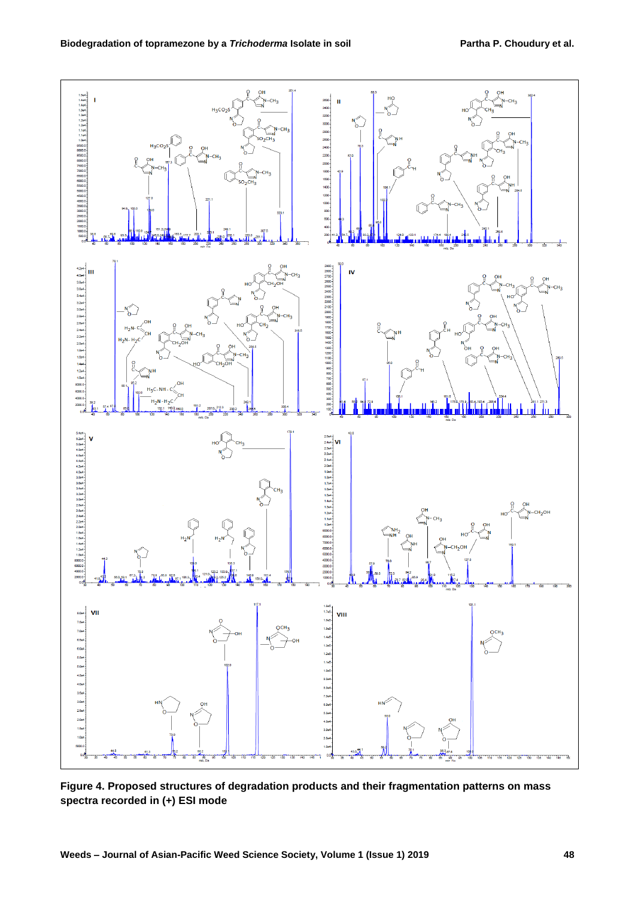

**Figure 4. Proposed structures of degradation products and their fragmentation patterns on mass spectra recorded in (+) ESI mode**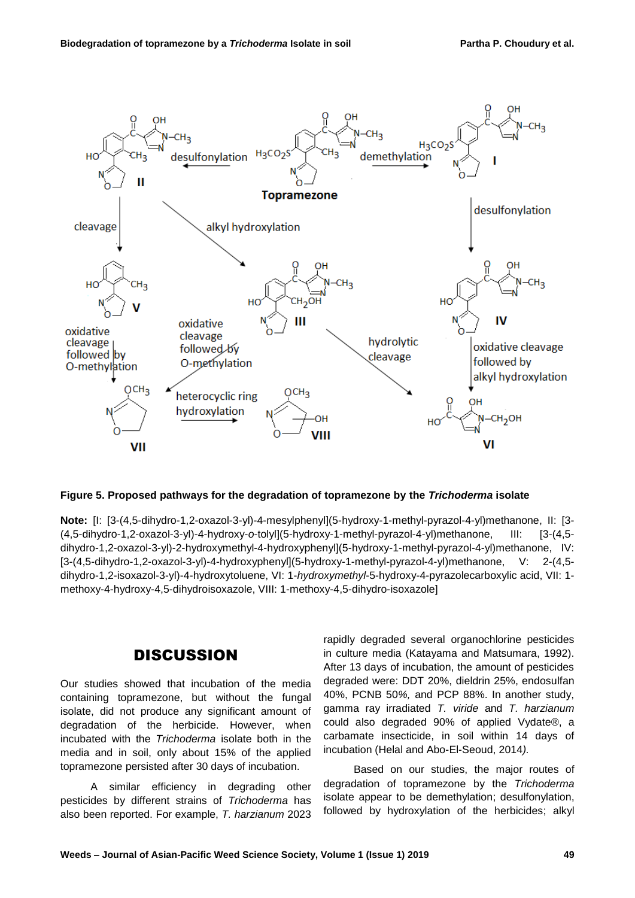

#### **Figure 5. Proposed pathways for the degradation of topramezone by the** *Trichoderma* **isolate**

**Note:** [I: [3-(4,5-dihydro-1,2-oxazol-3-yl)-4-mesylphenyl](5-hydroxy-1-methyl-pyrazol-4-yl)methanone, II: [3- (4,5-dihydro-1,2-oxazol-3-yl)-4-hydroxy-*o*-tolyl](5-hydroxy-1-methyl-pyrazol-4-yl)methanone, III: [3-(4,5 dihydro-1,2-oxazol-3-yl)-2-hydroxymethyl-4-hydroxyphenyl](5-hydroxy-1-methyl-pyrazol-4-yl)methanone, IV: [3-(4,5-dihydro-1,2-oxazol-3-yl)-4-hydroxyphenyl](5-hydroxy-1-methyl-pyrazol-4-yl)methanone, V: 2-(4,5 dihydro-1,2-isoxazol-3-yl)-4-hydroxytoluene, VI: 1-*hydroxymethyl*-5-hydroxy-4-pyrazolecarboxylic acid, VII: 1 methoxy-4-hydroxy-4,5-dihydroisoxazole, VIII: 1-methoxy-4,5-dihydro-isoxazole]

#### **DISCUSSION**

Our studies showed that incubation of the media containing topramezone, but without the fungal isolate, did not produce any significant amount of degradation of the herbicide. However, when incubated with the *Trichoderma* isolate both in the media and in soil, only about 15% of the applied topramezone persisted after 30 days of incubation.

A similar efficiency in degrading other pesticides by different strains of *Trichoderma* has also been reported. For example, *T. harzianum* 2023

rapidly degraded several organochlorine pesticides in culture media (Katayama and Matsumara, 1992). After 13 days of incubation, the amount of pesticides degraded were: DDT 20%, dieldrin 25%, endosulfan 40%, PCNB 50*%,* and PCP 88%. In another study, gamma ray irradiated *T. viride* and *T. harzianum* could also degraded 90% of applied Vydate®, a carbamate insecticide, in soil within 14 days of incubation (Helal and Abo-El-Seoud, 2014*).*

Based on our studies, the major routes of degradation of topramezone by the *Trichoderma* isolate appear to be demethylation; desulfonylation, followed by hydroxylation of the herbicides; alkyl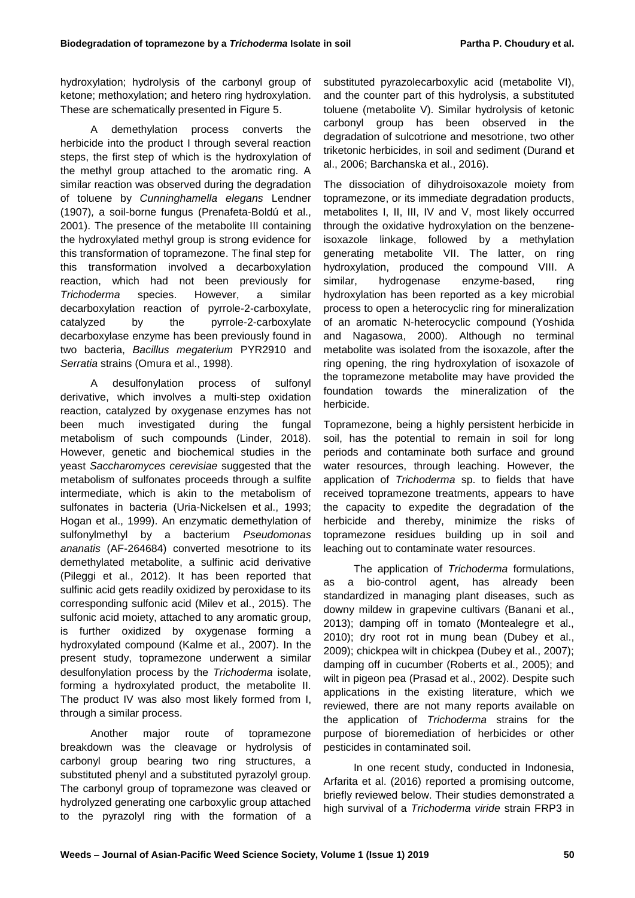hydroxylation; hydrolysis of the carbonyl group of ketone; methoxylation; and hetero ring hydroxylation. These are schematically presented in Figure 5.

A demethylation process converts the herbicide into the product I through several reaction steps, the first step of which is the hydroxylation of the methyl group attached to the aromatic ring. A similar reaction was observed during the degradation of toluene by *Cunninghamella elegans* Lendner (1907)*,* a soil-borne fungus (Prenafeta-Boldú et al., 2001). The presence of the metabolite III containing the hydroxylated methyl group is strong evidence for this transformation of topramezone. The final step for this transformation involved a decarboxylation reaction, which had not been previously for *Trichoderma* species. However, a similar decarboxylation reaction of pyrrole-2-carboxylate, catalyzed by the pyrrole-2-carboxylate decarboxylase enzyme has been previously found in two bacteria, *Bacillus megaterium* PYR2910 and *Serratia* strains (Omura et al., 1998).

A desulfonylation process of sulfonyl derivative, which involves a multi-step oxidation reaction, catalyzed by oxygenase enzymes has not been much investigated during the fungal metabolism of such compounds (Linder, 2018). However, genetic and biochemical studies in the yeast *Saccharomyces cerevisiae* suggested that the metabolism of sulfonates proceeds through a sulfite intermediate, which is akin to the metabolism of sulfonates in bacteria (Uria-Nickelsen et al., 1993; Hogan et al., 1999). An enzymatic demethylation of sulfonylmethyl by a bacterium *Pseudomonas ananatis* (AF-264684) converted mesotrione to its demethylated metabolite, a sulfinic acid derivative (Pileggi et al., 2012). It has been reported that sulfinic acid gets readily oxidized by peroxidase to its corresponding sulfonic acid (Milev et al., 2015). The sulfonic acid moiety, attached to any aromatic group, is further oxidized by oxygenase forming a hydroxylated compound (Kalme et al., 2007). In the present study, topramezone underwent a similar desulfonylation process by the *Trichoderma* isolate, forming a hydroxylated product, the metabolite II. The product IV was also most likely formed from I, through a similar process.

Another major route of topramezone breakdown was the cleavage or hydrolysis of carbonyl group bearing two ring structures, a substituted phenyl and a substituted pyrazolyl group. The carbonyl group of topramezone was cleaved or hydrolyzed generating one carboxylic group attached to the pyrazolyl ring with the formation of a substituted pyrazolecarboxylic acid (metabolite VI), and the counter part of this hydrolysis, a substituted toluene (metabolite V). Similar hydrolysis of ketonic carbonyl group has been observed in the degradation of sulcotrione and mesotrione, two other triketonic herbicides, in soil and sediment (Durand et al., 2006; Barchanska et al., 2016).

The dissociation of dihydroisoxazole moiety from topramezone, or its immediate degradation products, metabolites I, II, III, IV and V, most likely occurred through the oxidative hydroxylation on the benzeneisoxazole linkage, followed by a methylation generating metabolite VII. The latter, on ring hydroxylation, produced the compound VIII. A similar, hydrogenase enzyme-based, ring hydroxylation has been reported as a key microbial process to open a heterocyclic ring for mineralization of an aromatic N-heterocyclic compound (Yoshida and Nagasowa, 2000). Although no terminal metabolite was isolated from the isoxazole, after the ring opening, the ring hydroxylation of isoxazole of the topramezone metabolite may have provided the foundation towards the mineralization of the herbicide.

Topramezone, being a highly persistent herbicide in soil, has the potential to remain in soil for long periods and contaminate both surface and ground water resources, through leaching. However, the application of *Trichoderma* sp. to fields that have received topramezone treatments, appears to have the capacity to expedite the degradation of the herbicide and thereby, minimize the risks of topramezone residues building up in soil and leaching out to contaminate water resources.

The application of *Trichoderma* formulations, as a bio-control agent, has already been standardized in managing plant diseases, such as downy mildew in grapevine cultivars (Banani et al., 2013); damping off in tomato (Montealegre et al., 2010); dry root rot in mung bean (Dubey et al., 2009); chickpea wilt in chickpea (Dubey et al., 2007); damping off in cucumber (Roberts et al., 2005); and wilt in pigeon pea (Prasad et al., 2002). Despite such applications in the existing literature, which we reviewed, there are not many reports available on the application of *Trichoderma* strains for the purpose of bioremediation of herbicides or other pesticides in contaminated soil.

In one recent study, conducted in Indonesia, Arfarita et al. (2016) reported a promising outcome, briefly reviewed below. Their studies demonstrated a high survival of a *Trichoderma viride* strain FRP3 in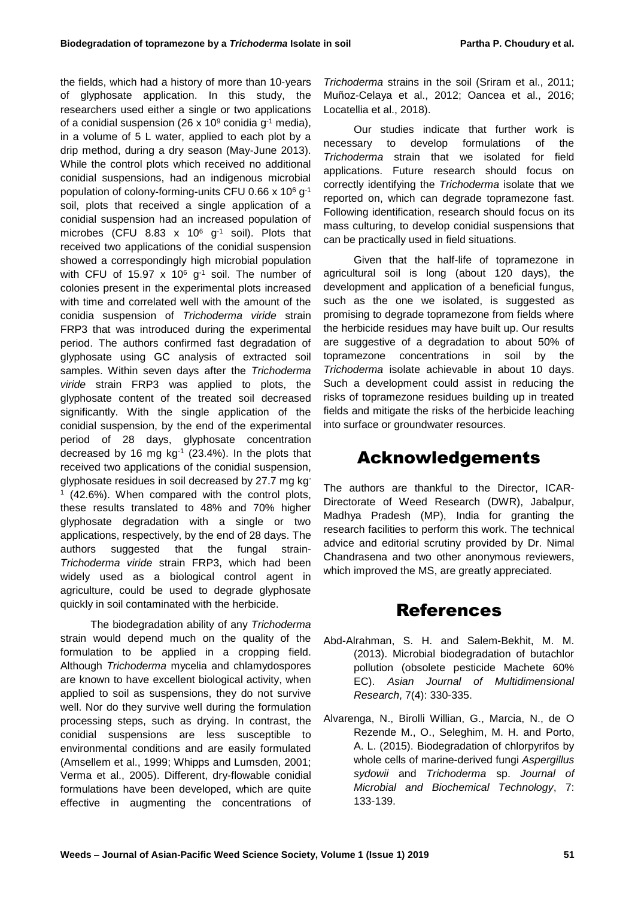the fields, which had a history of more than 10-years of glyphosate application. In this study, the researchers used either a single or two applications of a conidial suspension (26 x 10<sup>9</sup> conidia  $g^{-1}$  media), in a volume of 5 L water, applied to each plot by a drip method, during a dry season (May-June 2013). While the control plots which received no additional conidial suspensions, had an indigenous microbial population of colony-forming-units CFU 0.66 x 10 $^6$  g<sup>-1</sup> soil, plots that received a single application of a conidial suspension had an increased population of microbes (CFU 8.83  $\times$  10<sup>6</sup> g<sup>-1</sup> soil). Plots that received two applications of the conidial suspension showed a correspondingly high microbial population with CFU of 15.97 x 10 $^6$  g<sup>-1</sup> soil. The number of colonies present in the experimental plots increased with time and correlated well with the amount of the conidia suspension of *Trichoderma viride* strain FRP3 that was introduced during the experimental period. The authors confirmed fast degradation of glyphosate using GC analysis of extracted soil samples. Within seven days after the *Trichoderma viride* strain FRP3 was applied to plots, the glyphosate content of the treated soil decreased significantly. With the single application of the conidial suspension, by the end of the experimental period of 28 days, glyphosate concentration decreased by 16 mg  $kg^{-1}$  (23.4%). In the plots that received two applications of the conidial suspension, glyphosate residues in soil decreased by 27.7 mg kg-1 (42.6%). When compared with the control plots, these results translated to 48% and 70% higher glyphosate degradation with a single or two applications, respectively, by the end of 28 days. The authors suggested that the fungal strain-*Trichoderma viride* strain FRP3, which had been widely used as a biological control agent in agriculture, could be used to degrade glyphosate quickly in soil contaminated with the herbicide.

The biodegradation ability of any *Trichoderma* strain would depend much on the quality of the formulation to be applied in a cropping field. Although *Trichoderma* [mycelia](https://www.sciencedirect.com/topics/agricultural-and-biological-sciences/mycelium) and [chlamydospores](https://www.sciencedirect.com/topics/agricultural-and-biological-sciences/chlamydospore) are known to have excellent biological activity, when applied to soil as suspensions, they do not survive well. Nor do they survive well during the formulation processing steps, such as drying. In contrast, the conidial suspensions are less susceptible to environmental conditions and are easily formulated [\(Amsellem et al., 1999;](https://www.sciencedirect.com/science/article/pii/S1049964417301792#b0015) [Whipps and Lumsden, 2001;](https://www.sciencedirect.com/science/article/pii/S1049964417301792#b0195) [Verma et al., 2005\)](https://www.sciencedirect.com/science/article/pii/S1049964417301792#b0175). Different, dry-flowable conidial formulations have been developed, which are quite effective in augmenting the concentrations of *Trichoderma* strains in the soil (Sriram et al., 2011; Muñoz-Celaya et al., 2012; Oancea et al., 2016; Locatellia et al., 2018).

Our studies indicate that further work is necessary to develop formulations of the *Trichoderma* strain that we isolated for field applications. Future research should focus on correctly identifying the *Trichoderma* isolate that we reported on, which can degrade topramezone fast. Following identification, research should focus on its mass culturing, to develop conidial suspensions that can be practically used in field situations.

Given that the half-life of topramezone in agricultural soil is long (about 120 days), the development and application of a beneficial fungus, such as the one we isolated, is suggested as promising to degrade topramezone from fields where the herbicide residues may have built up. Our results are suggestive of a degradation to about 50% of topramezone concentrations in soil by the *Trichoderma* isolate achievable in about 10 days. Such a development could assist in reducing the risks of topramezone residues building up in treated fields and mitigate the risks of the herbicide leaching into surface or groundwater resources.

# Acknowledgements

The authors are thankful to the Director, ICAR-Directorate of Weed Research (DWR), Jabalpur, Madhya Pradesh (MP), India for granting the research facilities to perform this work. The technical advice and editorial scrutiny provided by Dr. Nimal Chandrasena and two other anonymous reviewers, which improved the MS, are greatly appreciated.

## **References**

- Abd-Alrahman, S. H. and Salem-Bekhit, M. M. (2013). Microbial biodegradation of butachlor pollution (obsolete pesticide Machete 60% EC). *Asian Journal of Multidimensional Research*, 7(4): 330-335.
- Alvarenga, N., Birolli Willian, G., Marcia, N., de O Rezende M., O., Seleghim, M. H. and Porto, A. L. (2015). Biodegradation of chlorpyrifos by whole cells of marine-derived fungi *Aspergillus sydowii* and *Trichoderma* sp. *Journal of Microbial and Biochemical Technology*, 7: 133-139.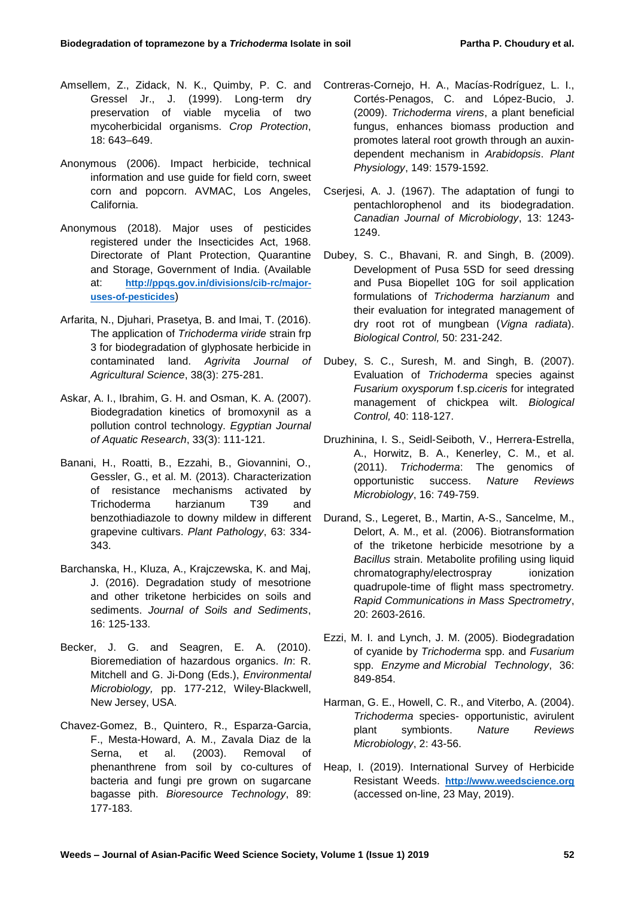- Amsellem, Z., Zidack, N. K., Quimby, P. C. and Gressel Jr., J. (1999). Long-term dry preservation of viable mycelia of two mycoherbicidal organisms. *Crop Protection*, 18: 643–649.
- Anonymous (2006). Impact herbicide, technical information and use guide for field corn, sweet corn and popcorn. AVMAC, Los Angeles, California.
- Anonymous (2018). Major uses of pesticides registered under the Insecticides Act, 1968. Directorate of Plant Protection, Quarantine and Storage, Government of India. (Available at: **[http://ppqs.gov.in/divisions/cib-rc/major](http://ppqs.gov.in/divisions/cib-rc/major-uses-of-pesticides)[uses-of-pesticides](http://ppqs.gov.in/divisions/cib-rc/major-uses-of-pesticides)**)
- Arfarita, N., Djuhari, Prasetya, B. and Imai, T. (2016). The application of *Trichoderma viride* strain frp 3 for biodegradation of glyphosate herbicide in contaminated land. *Agrivita Journal of Agricultural Science*, 38(3): 275-281.
- Askar, A. I., Ibrahim, G. H. and Osman, K. A. (2007). Biodegradation kinetics of bromoxynil as a pollution control technology. *Egyptian Journal of Aquatic Research*, 33(3): 111-121.
- Banani, H., Roatti, B., Ezzahi, B., Giovannini, O., Gessler, G., et al. M. (2013). Characterization of resistance mechanisms activated by Trichoderma harzianum T39 and benzothiadiazole to downy mildew in different grapevine cultivars. *Plant Pathology*, 63: 334- 343.
- Barchanska, H., Kluza, A., Krajczewska, K. and Maj, J. (2016). Degradation study of mesotrione and other triketone herbicides on soils and sediments. *Journal of Soils and Sediments*, 16: 125-133.
- Becker, J. G. and Seagren, E. A. (2010). Bioremediation of hazardous organics. *In*: R. Mitchell and G. Ji-Dong (Eds.), *Environmental Microbiology,* pp. 177-212, Wiley-Blackwell, New Jersey, USA.
- Chavez-Gomez, B., Quintero, R., Esparza-Garcia, F., Mesta-Howard, A. M., Zavala Diaz de la Serna, et al. (2003). Removal of phenanthrene from soil by co-cultures of bacteria and fungi pre grown on sugarcane bagasse pith. *Bioresource Technology*, 89: 177-183.
- Contreras-Cornejo, H. A., Macías-Rodríguez, L. I., Cortés-Penagos, C. and López-Bucio, J. (2009). *Trichoderma virens*, a plant beneficial fungus, enhances biomass production and promotes lateral root growth through an auxindependent mechanism in *Arabidopsis*. *Plant Physiology*, 149: 1579-1592.
- Cserjesi, A. J. (1967). The adaptation of fungi to pentachlorophenol and its biodegradation. *Canadian Journal of Microbiology*, 13: 1243- 1249.
- Dubey, S. C., Bhavani, R. and Singh, B. (2009). Development of Pusa 5SD for seed dressing and Pusa Biopellet 10G for soil application formulations of *Trichoderma harzianum* and their evaluation for integrated management of dry root rot of mungbean (*Vigna radiata*). *Biological Control,* 50: 231-242.
- Dubey, S. C., Suresh, M. and Singh, B. (2007). Evaluation of *Trichoderma* species against *Fusarium oxysporum* f.sp.*ciceris* for integrated management of chickpea wilt. *Biological Control,* 40: 118-127.
- Druzhinina, I. S., Seidl-Seiboth, V., Herrera-Estrella, A., Horwitz, B. A., Kenerley, C. M., et al. (2011). *Trichoderma*: The genomics of opportunistic success. *Nature Reviews Microbiology*, 16: 749-759.
- Durand, S., Legeret, B., Martin, A-S., Sancelme, M., Delort, A. M., et al. (2006). Biotransformation of the triketone herbicide mesotrione by a *Bacillus* strain. Metabolite profiling using liquid chromatography/electrospray ionization quadrupole-time of flight mass spectrometry. *Rapid Communications in Mass Spectrometry*, 20: 2603-2616.
- Ezzi, M. I. and Lynch, J. M. (2005). Biodegradation of cyanide by *Trichoderma* spp. and *Fusarium*  spp. *Enzyme and Microbial Technology*, 36: 849-854.
- Harman, G. E., Howell, C. R., and Viterbo, A. (2004). *Trichoderma* species- opportunistic, avirulent plant symbionts. *Nature Reviews Microbiology*, 2: 43-56.
- Heap, I. (2019). International Survey of Herbicide Resistant Weeds. **[http://www.weedscience.org](http://www.weedscience.org/)** (accessed on-line, 23 May, 2019).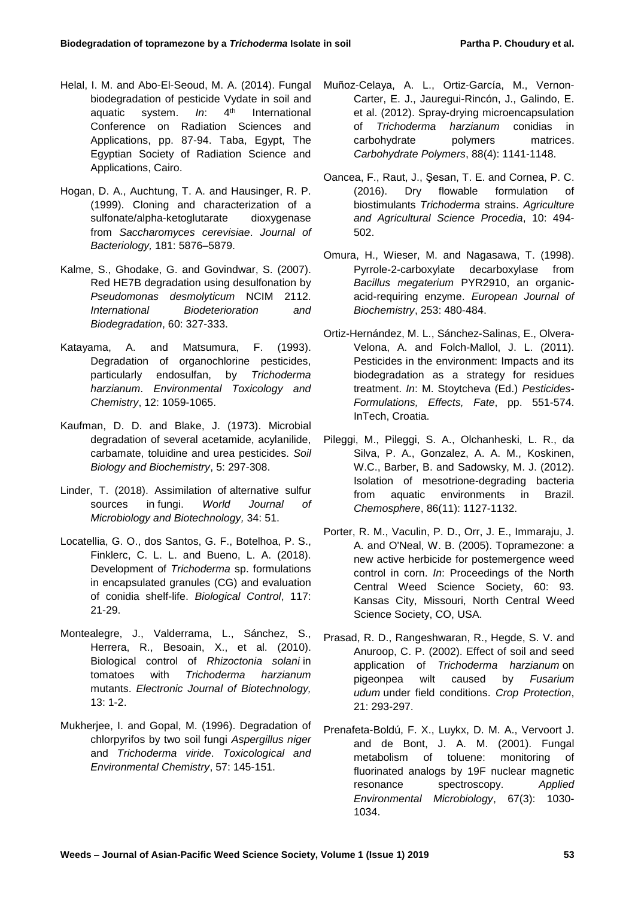- Helal, I. M. and Abo-El-Seoud, M. A. (2014). Fungal biodegradation of pesticide Vydate in soil and aquatic system. *In*: 4<sup>th</sup> International Conference on Radiation Sciences and Applications, pp. 87-94. Taba, Egypt, The Egyptian Society of Radiation Science and Applications, Cairo.
- Hogan, D. A., Auchtung, T. A. and Hausinger, R. P. (1999). Cloning and characterization of a sulfonate/alpha-ketoglutarate dioxygenase from *Saccharomyces cerevisiae*. *Journal of Bacteriology,* 181: 5876–5879.
- Kalme, S., Ghodake, G. and Govindwar, S. (2007). Red HE7B degradation using desulfonation by *Pseudomonas desmolyticum* NCIM 2112. *International Biodeterioration and Biodegradation*, 60: 327-333.
- Katayama, A. and Matsumura, F. (1993). Degradation of organochlorine pesticides, particularly endosulfan, by *Trichoderma harzianum*. *Environmental Toxicology and Chemistry*, 12: 1059-1065.
- Kaufman, D. D. and Blake, J. (1973). Microbial degradation of several acetamide, acylanilide, carbamate, toluidine and urea pesticides. *Soil Biology and Biochemistry*, 5: 297-308.
- Linder, T. (2018). Assimilation of alternative sulfur sources in fungi. *World Journal of Microbiology and Biotechnology,* 34: 51.
- Locatellia, G. O., dos Santos, G. F., Botelhoa, P. S., Finklerc, C. L. L. and Bueno, L. A. (2018). Development of *Trichoderma* sp. formulations in encapsulated granules (CG) and evaluation of conidia shelf-life. *[Biological Control](https://www.sciencedirect.com/science/journal/10499644)*, [117:](https://www.sciencedirect.com/science/journal/10499644/117/supp/C) 21-29.
- Montealegre, J., Valderrama, L., Sánchez, S., Herrera, R., Besoain, X., et al. (2010). Biological control of *Rhizoctonia solani* in tomatoes with *Trichoderma harzianum* mutants. *Electronic Journal of Biotechnology,* 13: 1-2.
- Mukherjee, I. and Gopal, M. (1996). Degradation of chlorpyrifos by two soil fungi *Aspergillus niger* and *Trichoderma viride*. *Toxicological and Environmental Chemistry*, 57: 145-151.
- Muñoz-Celaya, A. L., Ortiz-García, M., Vernon-Carter, E. J., Jauregui-Rincón, J., Galindo, E. et al. (2012). [Spray-drying microencapsulation](https://www.sciencedirect.com/science/article/pii/S0144861711011453)  of *Trichoderma harzianum* [conidias in](https://www.sciencedirect.com/science/article/pii/S0144861711011453) [carbohydrate polymers matrices.](https://www.sciencedirect.com/science/article/pii/S0144861711011453) *Carbohydrate Polymers*, 88(4): 1141-1148.
- Oancea, F., Raut, J., Şesan, T. E. and Cornea, P. C. (2016). [Dry flowable formulation of](https://www.sciencedirect.com/science/article/pii/S2210784316302157)  [biostimulants](https://www.sciencedirect.com/science/article/pii/S2210784316302157) *Trichoderma* strains. *Agriculture and Agricultural Science Procedia*, 10: 494- 502.
- Omura, H., Wieser, M. and Nagasawa, T. (1998). Pyrrole-2-carboxylate decarboxylase from *Bacillus megaterium* PYR2910, an organicacid-requiring enzyme. *European Journal of Biochemistry*, 253: 480-484.
- Ortiz-Hernández, M. L., Sánchez-Salinas, E., Olvera-Velona, A. and Folch-Mallol, J. L. (2011). Pesticides in the environment: Impacts and its biodegradation as a strategy for residues treatment. *In*: M. Stoytcheva (Ed.) *Pesticides-Formulations, Effects, Fate*, pp. 551-574. InTech, Croatia.
- [Pileggi, M.](https://www.ncbi.nlm.nih.gov/pubmed/?term=Pileggi%20M%5BAuthor%5D&cauthor=true&cauthor_uid=22245060), [Pileggi, S.](https://www.ncbi.nlm.nih.gov/pubmed/?term=Pileggi%20SA%5BAuthor%5D&cauthor=true&cauthor_uid=22245060) A., [Olchanheski, L.](https://www.ncbi.nlm.nih.gov/pubmed/?term=Olchanheski%20LR%5BAuthor%5D&cauthor=true&cauthor_uid=22245060) R., [da](https://www.ncbi.nlm.nih.gov/pubmed/?term=da%20Silva%20PA%5BAuthor%5D&cauthor=true&cauthor_uid=22245060)  [Silva, P.](https://www.ncbi.nlm.nih.gov/pubmed/?term=da%20Silva%20PA%5BAuthor%5D&cauthor=true&cauthor_uid=22245060) A., Gonzalez, A. A. M., [Koskinen,](https://www.ncbi.nlm.nih.gov/pubmed/?term=Koskinen%20WC%5BAuthor%5D&cauthor=true&cauthor_uid=22245060)  [W.C.](https://www.ncbi.nlm.nih.gov/pubmed/?term=Koskinen%20WC%5BAuthor%5D&cauthor=true&cauthor_uid=22245060), [Barber, B.](https://www.ncbi.nlm.nih.gov/pubmed/?term=Barber%20B%5BAuthor%5D&cauthor=true&cauthor_uid=22245060) and [Sadowsky, M.](https://www.ncbi.nlm.nih.gov/pubmed/?term=Sadowsky%20MJ%5BAuthor%5D&cauthor=true&cauthor_uid=22245060) J. (2012). Isolation of mesotrione-degrading bacteria from aquatic environments in Brazil. *[Chemosphere](https://www.ncbi.nlm.nih.gov/pubmed/22245060)*, 86(11): 1127-1132.
- Porter, R. M., Vaculin, P. D., Orr, J. E., Immaraju, J. A. and O'Neal, W. B. (2005). Topramezone: a new active herbicide for postemergence weed control in corn. *In*: Proceedings of the North Central Weed Science Society, 60: 93. Kansas City, Missouri, North Central Weed Science Society, CO, USA.
- Prasad, R. D., Rangeshwaran, R., Hegde, S. V. and Anuroop, C. P. (2002). Effect of soil and seed application of *Trichoderma harzianum* on pigeonpea wilt caused by *Fusarium udum* under field conditions. *Crop Protection*, 21: 293-297.
- Prenafeta-Boldú, F. X., Luykx, D. M. A., Vervoort J. and de Bont, J. A. M. (2001). Fungal metabolism of toluene: monitoring of fluorinated analogs by 19F nuclear magnetic resonance spectroscopy. *Applied Environmental Microbiology*, 67(3): 1030- 1034.